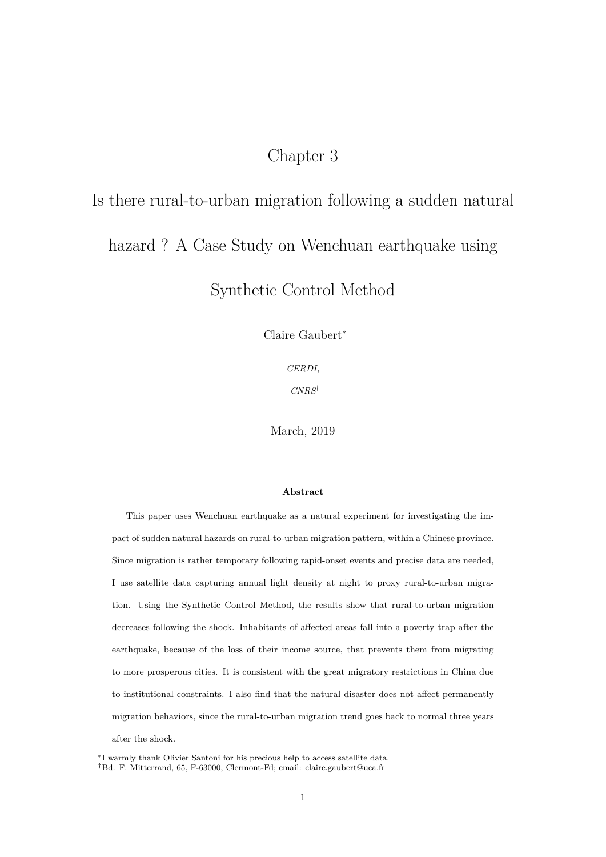# Chapter 3

# Is there rural-to-urban migration following a sudden natural

# hazard ? A Case Study on Wenchuan earthquake using

# Synthetic Control Method

Claire Gaubert<sup>∗</sup>

*CERDI,*

*CNRS*†

March, 2019

#### **Abstract**

This paper uses Wenchuan earthquake as a natural experiment for investigating the impact of sudden natural hazards on rural-to-urban migration pattern, within a Chinese province. Since migration is rather temporary following rapid-onset events and precise data are needed, I use satellite data capturing annual light density at night to proxy rural-to-urban migration. Using the Synthetic Control Method, the results show that rural-to-urban migration decreases following the shock. Inhabitants of affected areas fall into a poverty trap after the earthquake, because of the loss of their income source, that prevents them from migrating to more prosperous cities. It is consistent with the great migratory restrictions in China due to institutional constraints. I also find that the natural disaster does not affect permanently migration behaviors, since the rural-to-urban migration trend goes back to normal three years after the shock.

<sup>∗</sup> I warmly thank Olivier Santoni for his precious help to access satellite data.

<sup>†</sup>Bd. F. Mitterrand, 65, F-63000, Clermont-Fd; email: claire.gaubert@uca.fr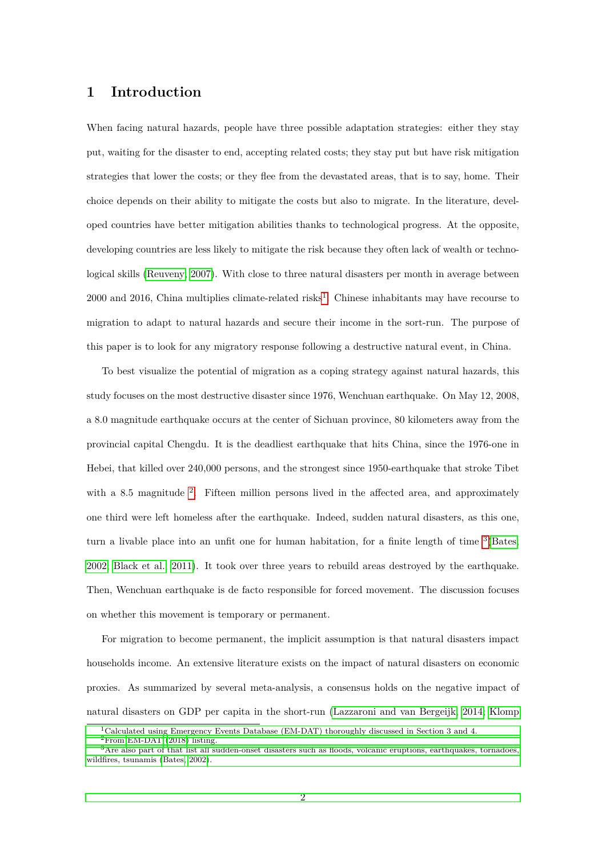### **1 Introduction**

When facing natural hazards, people have three possible adaptation strategies: either they stay put, waiting for the disaster to end, accepting related costs; they stay put but have risk mitigation strategies that lower the costs; or they flee from the devastated areas, that is to say, home. Their choice depends on their ability to mitigate the costs but also to migrate. In the literature, developed countries have better mitigation abilities thanks to technological progress. At the opposite, developing countries are less likely to mitigate the risk because they often lack of wealth or technological skills [\(Reuveny, 2007\)](#page-24-0). With close to three natural disasters per month in average between 2000 and 20[1](#page-1-0)6, China multiplies climate-related risks<sup>1</sup>. Chinese inhabitants may have recourse to migration to adapt to natural hazards and secure their income in the sort-run. The purpose of this paper is to look for any migratory response following a destructive natural event, in China.

To best visualize the potential of migration as a coping strategy against natural hazards, this study focuses on the most destructive disaster since 1976, Wenchuan earthquake. On May 12, 2008, a 8.0 magnitude earthquake occurs at the center of Sichuan province, 80 kilometers away from the provincial capital Chengdu. It is the deadliest earthquake that hits China, since the 1976-one in Hebei, that killed over 240,000 persons, and the strongest since 1950-earthquake that stroke Tibet with a 8.5 magnitude <sup>[2](#page-1-1)</sup>. Fifteen million persons lived in the affected area, and approximately one third were left homeless after the earthquake. Indeed, sudden natural disasters, as this one, turn a livable place into an unfit one for human habitation, for a finite length of time  ${}^{3}$  ${}^{3}$  ${}^{3}$ [\(Bates,](#page-23-0) [2002;](#page-23-0) [Black et al., 2011\)](#page-23-1). It took over three years to rebuild areas destroyed by the earthquake. Then, Wenchuan earthquake is de facto responsible for forced movement. The discussion focuses on whether this movement is temporary or permanent.

For migration to become permanent, the implicit assumption is that natural disasters impact households income. An extensive literature exists on the impact of natural disasters on economic proxies. As summarized by several meta-analysis, a consensus holds on the negative impact of natural disasters on GDP per capita in the short-run [\(Lazzaroni and van Bergeijk, 2014;](#page-23-2) [Klomp](#page-23-3)

<span id="page-1-0"></span><sup>1</sup>[Calculated using Emergency Events Database \(EM-DAT\) thoroughly discussed in Section 3 and 4.](#page-23-3)

<span id="page-1-2"></span><span id="page-1-1"></span> ${}^{2}$ [From EM-DAT \(2018\) listing.](#page-23-3)

<sup>3</sup>[Are also part of that list all sudden-onset disasters such as floods, volcanic eruptions, earthquakes, tornadoes,](#page-23-3) [wildfires, tsunamis \(Bates, 2002\).](#page-23-3)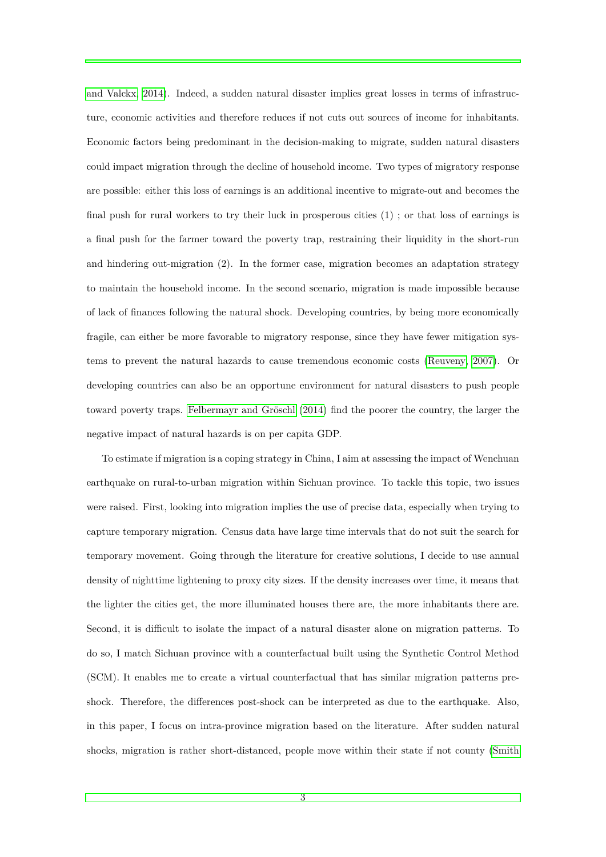[and Valckx, 2014\)](#page-23-3). Indeed, a sudden natural disaster implies great losses in terms of infrastructure, economic activities and therefore reduces if not cuts out sources of income for inhabitants. Economic factors being predominant in the decision-making to migrate, sudden natural disasters could impact migration through the decline of household income. Two types of migratory response are possible: either this loss of earnings is an additional incentive to migrate-out and becomes the final push for rural workers to try their luck in prosperous cities (1) ; or that loss of earnings is a final push for the farmer toward the poverty trap, restraining their liquidity in the short-run and hindering out-migration (2). In the former case, migration becomes an adaptation strategy to maintain the household income. In the second scenario, migration is made impossible because of lack of finances following the natural shock. Developing countries, by being more economically fragile, can either be more favorable to migratory response, since they have fewer mitigation systems to prevent the natural hazards to cause tremendous economic costs [\(Reuveny, 2007\)](#page-24-0). Or developing countries can also be an opportune environment for natural disasters to push people toward poverty traps. [Felbermayr and Gröschl](#page-23-5) [\(2014\)](#page-23-5) find the poorer the country, the larger the negative impact of natural hazards is on per capita GDP.

To estimate if migration is a coping strategy in China, I aim at assessing the impact of Wenchuan earthquake on rural-to-urban migration within Sichuan province. To tackle this topic, two issues were raised. First, looking into migration implies the use of precise data, especially when trying to capture temporary migration. Census data have large time intervals that do not suit the search for temporary movement. Going through the literature for creative solutions, I decide to use annual density of nighttime lightening to proxy city sizes. If the density increases over time, it means that the lighter the cities get, the more illuminated houses there are, the more inhabitants there are. Second, it is difficult to isolate the impact of a natural disaster alone on migration patterns. To do so, I match Sichuan province with a counterfactual built using the Synthetic Control Method (SCM). It enables me to create a virtual counterfactual that has similar migration patterns preshock. Therefore, the differences post-shock can be interpreted as due to the earthquake. Also, in this paper, I focus on intra-province migration based on the literature. After sudden natural shocks, migration is rather short-distanced, people move within their state if not county [\(Smith](#page-24-1)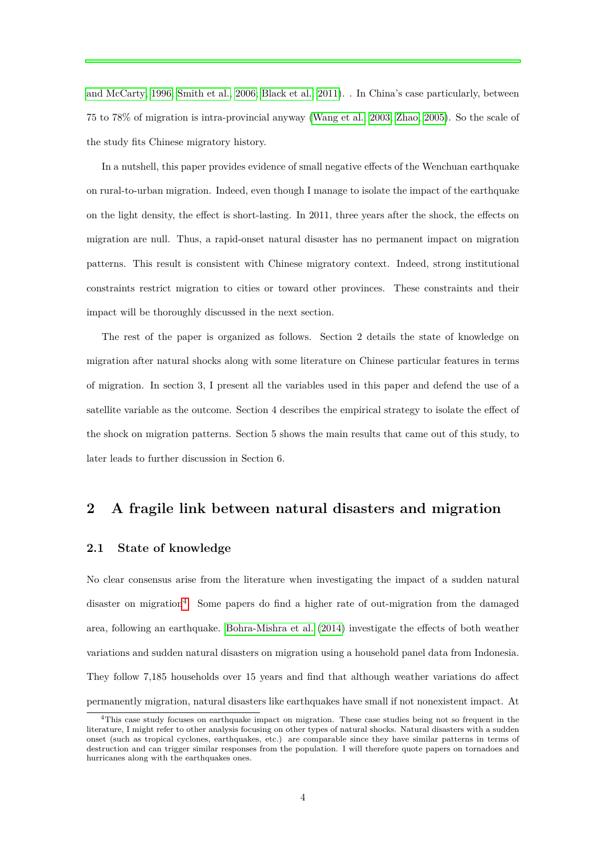[and McCarty, 1996;](#page-24-1) [Smith et al., 2006;](#page-24-2) [Black et al., 2011\)](#page-23-1). . In China's case particularly, between 75 to 78% of migration is intra-provincial anyway [\(Wang et al., 2003;](#page-24-3) [Zhao, 2005\)](#page-25-0). So the scale of the study fits Chinese migratory history.

In a nutshell, this paper provides evidence of small negative effects of the Wenchuan earthquake on rural-to-urban migration. Indeed, even though I manage to isolate the impact of the earthquake on the light density, the effect is short-lasting. In 2011, three years after the shock, the effects on migration are null. Thus, a rapid-onset natural disaster has no permanent impact on migration patterns. This result is consistent with Chinese migratory context. Indeed, strong institutional constraints restrict migration to cities or toward other provinces. These constraints and their impact will be thoroughly discussed in the next section.

The rest of the paper is organized as follows. Section 2 details the state of knowledge on migration after natural shocks along with some literature on Chinese particular features in terms of migration. In section 3, I present all the variables used in this paper and defend the use of a satellite variable as the outcome. Section 4 describes the empirical strategy to isolate the effect of the shock on migration patterns. Section 5 shows the main results that came out of this study, to later leads to further discussion in Section 6.

# **2 A fragile link between natural disasters and migration**

#### **2.1 State of knowledge**

No clear consensus arise from the literature when investigating the impact of a sudden natural disaster on migration<sup>[4](#page-3-0)</sup>. Some papers do find a higher rate of out-migration from the damaged area, following an earthquake. [Bohra-Mishra et al.](#page-23-6) [\(2014\)](#page-23-6) investigate the effects of both weather variations and sudden natural disasters on migration using a household panel data from Indonesia. They follow 7,185 households over 15 years and find that although weather variations do affect permanently migration, natural disasters like earthquakes have small if not nonexistent impact. At

<span id="page-3-0"></span> $4$ This case study focuses on earthquake impact on migration. These case studies being not so frequent in the literature, I might refer to other analysis focusing on other types of natural shocks. Natural disasters with a sudden onset (such as tropical cyclones, earthquakes, etc.) are comparable since they have similar patterns in terms of destruction and can trigger similar responses from the population. I will therefore quote papers on tornadoes and hurricanes along with the earthquakes ones.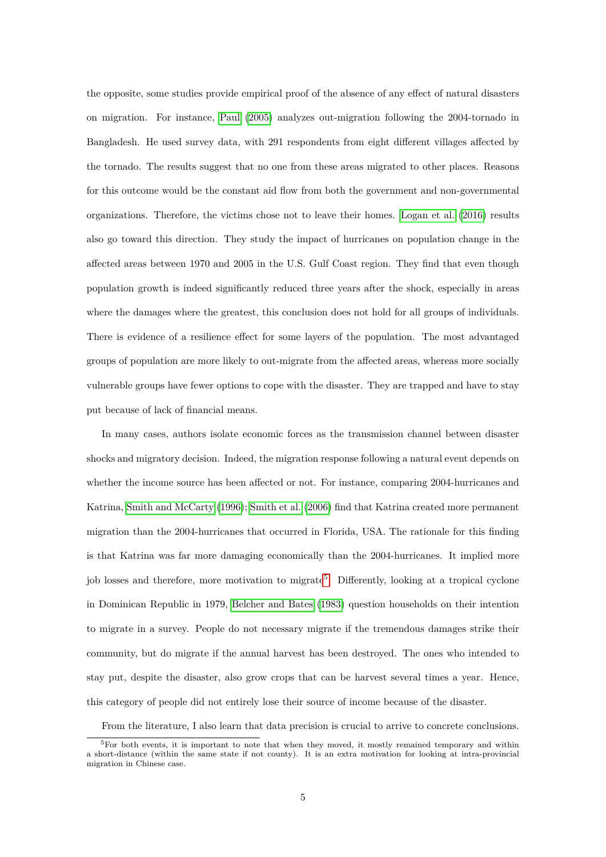the opposite, some studies provide empirical proof of the absence of any effect of natural disasters on migration. For instance, [Paul](#page-24-4) [\(2005\)](#page-24-4) analyzes out-migration following the 2004-tornado in Bangladesh. He used survey data, with 291 respondents from eight different villages affected by the tornado. The results suggest that no one from these areas migrated to other places. Reasons for this outcome would be the constant aid flow from both the government and non-governmental organizations. Therefore, the victims chose not to leave their homes. [Logan et al.](#page-24-5) [\(2016\)](#page-24-5) results also go toward this direction. They study the impact of hurricanes on population change in the affected areas between 1970 and 2005 in the U.S. Gulf Coast region. They find that even though population growth is indeed significantly reduced three years after the shock, especially in areas where the damages where the greatest, this conclusion does not hold for all groups of individuals. There is evidence of a resilience effect for some layers of the population. The most advantaged groups of population are more likely to out-migrate from the affected areas, whereas more socially vulnerable groups have fewer options to cope with the disaster. They are trapped and have to stay put because of lack of financial means.

In many cases, authors isolate economic forces as the transmission channel between disaster shocks and migratory decision. Indeed, the migration response following a natural event depends on whether the income source has been affected or not. For instance, comparing 2004-hurricanes and Katrina, [Smith and McCarty](#page-24-1) [\(1996\)](#page-24-1); [Smith et al.](#page-24-2) [\(2006\)](#page-24-2) find that Katrina created more permanent migration than the 2004-hurricanes that occurred in Florida, USA. The rationale for this finding is that Katrina was far more damaging economically than the 2004-hurricanes. It implied more job losses and therefore, more motivation to migrate<sup>[5](#page-4-0)</sup>. Differently, looking at a tropical cyclone in Dominican Republic in 1979, [Belcher and Bates](#page-23-7) [\(1983\)](#page-23-7) question households on their intention to migrate in a survey. People do not necessary migrate if the tremendous damages strike their community, but do migrate if the annual harvest has been destroyed. The ones who intended to stay put, despite the disaster, also grow crops that can be harvest several times a year. Hence, this category of people did not entirely lose their source of income because of the disaster.

<span id="page-4-0"></span>From the literature, I also learn that data precision is crucial to arrive to concrete conclusions.

<sup>&</sup>lt;sup>5</sup>For both events, it is important to note that when they moved, it mostly remained temporary and within a short-distance (within the same state if not county). It is an extra motivation for looking at intra-provincial migration in Chinese case.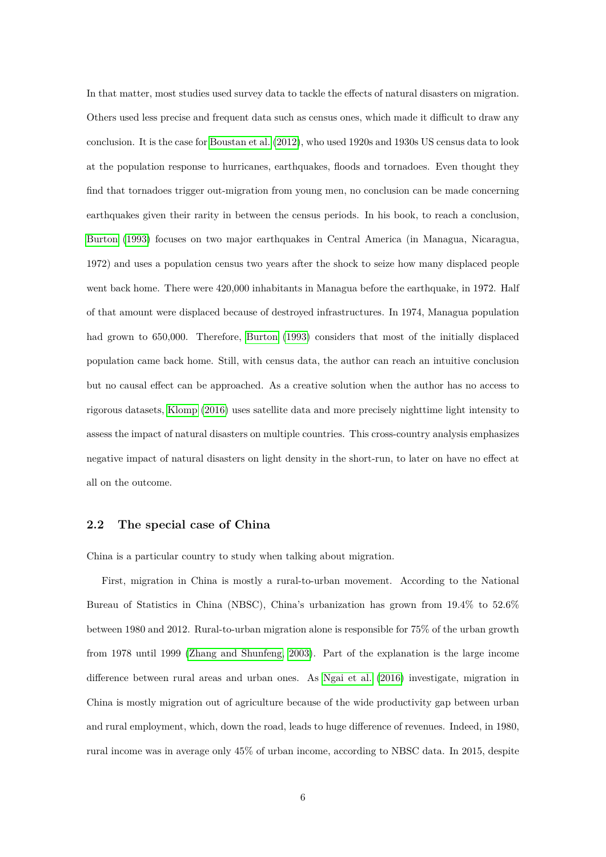In that matter, most studies used survey data to tackle the effects of natural disasters on migration. Others used less precise and frequent data such as census ones, which made it difficult to draw any conclusion. It is the case for [Boustan et al.](#page-23-8) [\(2012\)](#page-23-8), who used 1920s and 1930s US census data to look at the population response to hurricanes, earthquakes, floods and tornadoes. Even thought they find that tornadoes trigger out-migration from young men, no conclusion can be made concerning earthquakes given their rarity in between the census periods. In his book, to reach a conclusion, [Burton](#page-23-9) [\(1993\)](#page-23-9) focuses on two major earthquakes in Central America (in Managua, Nicaragua, 1972) and uses a population census two years after the shock to seize how many displaced people went back home. There were 420,000 inhabitants in Managua before the earthquake, in 1972. Half of that amount were displaced because of destroyed infrastructures. In 1974, Managua population had grown to 650,000. Therefore, [Burton](#page-23-9) [\(1993\)](#page-23-9) considers that most of the initially displaced population came back home. Still, with census data, the author can reach an intuitive conclusion but no causal effect can be approached. As a creative solution when the author has no access to rigorous datasets, [Klomp](#page-23-10) [\(2016\)](#page-23-10) uses satellite data and more precisely nighttime light intensity to assess the impact of natural disasters on multiple countries. This cross-country analysis emphasizes negative impact of natural disasters on light density in the short-run, to later on have no effect at all on the outcome.

#### **2.2 The special case of China**

China is a particular country to study when talking about migration.

First, migration in China is mostly a rural-to-urban movement. According to the National Bureau of Statistics in China (NBSC), China's urbanization has grown from 19.4% to 52.6% between 1980 and 2012. Rural-to-urban migration alone is responsible for 75% of the urban growth from 1978 until 1999 [\(Zhang and Shunfeng, 2003\)](#page-25-1). Part of the explanation is the large income difference between rural areas and urban ones. As [Ngai et al.](#page-24-6) [\(2016\)](#page-24-6) investigate, migration in China is mostly migration out of agriculture because of the wide productivity gap between urban and rural employment, which, down the road, leads to huge difference of revenues. Indeed, in 1980, rural income was in average only 45% of urban income, according to NBSC data. In 2015, despite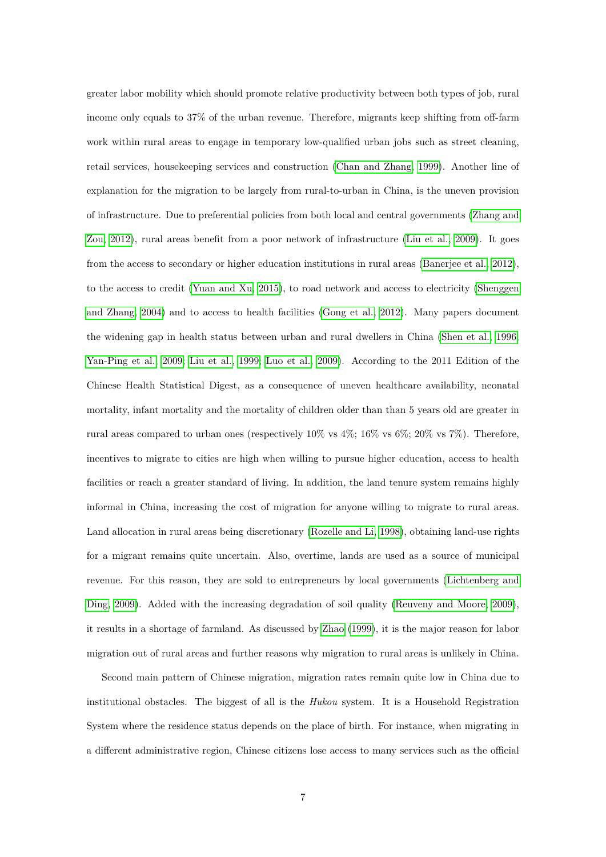greater labor mobility which should promote relative productivity between both types of job, rural income only equals to 37% of the urban revenue. Therefore, migrants keep shifting from off-farm work within rural areas to engage in temporary low-qualified urban jobs such as street cleaning, retail services, housekeeping services and construction [\(Chan and Zhang, 1999\)](#page-23-11). Another line of explanation for the migration to be largely from rural-to-urban in China, is the uneven provision of infrastructure. Due to preferential policies from both local and central governments [\(Zhang and](#page-25-2) [Zou, 2012\)](#page-25-2), rural areas benefit from a poor network of infrastructure [\(Liu et al., 2009\)](#page-24-7). It goes from the access to secondary or higher education institutions in rural areas [\(Banerjee et al., 2012\)](#page-23-12), to the access to credit [\(Yuan and Xu, 2015\)](#page-25-3), to road network and access to electricity [\(Shenggen](#page-24-8) [and Zhang, 2004\)](#page-24-8) and to access to health facilities [\(Gong et al., 2012\)](#page-23-13). Many papers document the widening gap in health status between urban and rural dwellers in China [\(Shen et al., 1996;](#page-24-9) [Yan-Ping et al., 2009;](#page-25-4) [Liu et al., 1999;](#page-24-10) [Luo et al., 2009\)](#page-24-11). According to the 2011 Edition of the Chinese Health Statistical Digest, as a consequence of uneven healthcare availability, neonatal mortality, infant mortality and the mortality of children older than than 5 years old are greater in rural areas compared to urban ones (respectively  $10\%$  vs  $4\%;$   $16\%$  vs  $6\%;$   $20\%$  vs  $7\%$ ). Therefore, incentives to migrate to cities are high when willing to pursue higher education, access to health facilities or reach a greater standard of living. In addition, the land tenure system remains highly informal in China, increasing the cost of migration for anyone willing to migrate to rural areas. Land allocation in rural areas being discretionary [\(Rozelle and Li, 1998\)](#page-24-12), obtaining land-use rights for a migrant remains quite uncertain. Also, overtime, lands are used as a source of municipal revenue. For this reason, they are sold to entrepreneurs by local governments [\(Lichtenberg and](#page-24-13) [Ding, 2009\)](#page-24-13). Added with the increasing degradation of soil quality [\(Reuveny and Moore, 2009\)](#page-24-14), it results in a shortage of farmland. As discussed by [Zhao](#page-25-5) [\(1999\)](#page-25-5), it is the major reason for labor migration out of rural areas and further reasons why migration to rural areas is unlikely in China.

Second main pattern of Chinese migration, migration rates remain quite low in China due to institutional obstacles. The biggest of all is the *Hukou* system. It is a Household Registration System where the residence status depends on the place of birth. For instance, when migrating in a different administrative region, Chinese citizens lose access to many services such as the official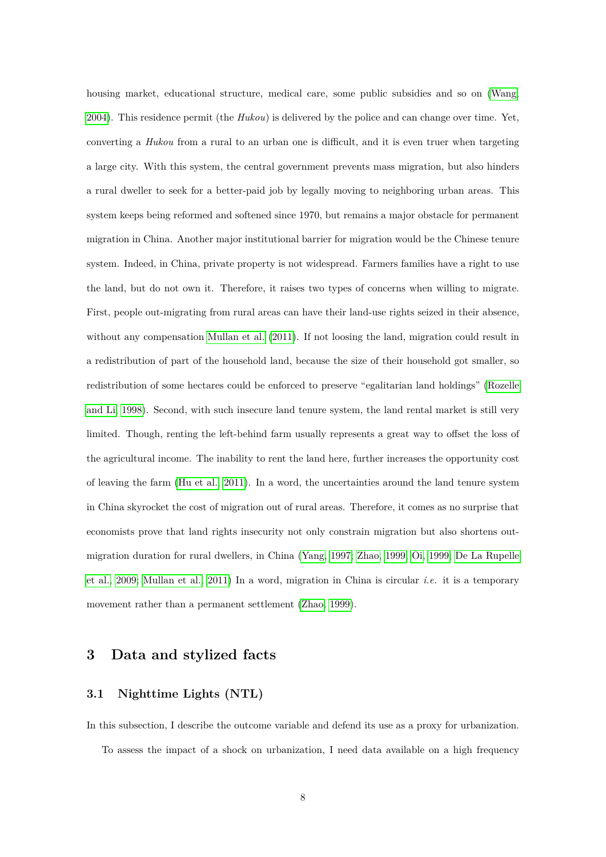housing market, educational structure, medical care, some public subsidies and so on [\(Wang,](#page-24-15) [2004\)](#page-24-15). This residence permit (the *Hukou*) is delivered by the police and can change over time. Yet, converting a *Hukou* from a rural to an urban one is difficult, and it is even truer when targeting a large city. With this system, the central government prevents mass migration, but also hinders a rural dweller to seek for a better-paid job by legally moving to neighboring urban areas. This system keeps being reformed and softened since 1970, but remains a major obstacle for permanent migration in China. Another major institutional barrier for migration would be the Chinese tenure system. Indeed, in China, private property is not widespread. Farmers families have a right to use the land, but do not own it. Therefore, it raises two types of concerns when willing to migrate. First, people out-migrating from rural areas can have their land-use rights seized in their absence, without any compensation [Mullan et al.](#page-24-16) [\(2011\)](#page-24-16). If not loosing the land, migration could result in a redistribution of part of the household land, because the size of their household got smaller, so redistribution of some hectares could be enforced to preserve "egalitarian land holdings" [\(Rozelle](#page-24-12) [and Li, 1998\)](#page-24-12). Second, with such insecure land tenure system, the land rental market is still very limited. Though, renting the left-behind farm usually represents a great way to offset the loss of the agricultural income. The inability to rent the land here, further increases the opportunity cost of leaving the farm [\(Hu et al., 2011\)](#page-23-14). In a word, the uncertainties around the land tenure system in China skyrocket the cost of migration out of rural areas. Therefore, it comes as no surprise that economists prove that land rights insecurity not only constrain migration but also shortens outmigration duration for rural dwellers, in China [\(Yang, 1997;](#page-25-6) [Zhao, 1999;](#page-25-5) [Oi, 1999;](#page-24-17) [De La Rupelle](#page-23-15) [et al., 2009;](#page-23-15) [Mullan et al., 2011\)](#page-24-16) In a word, migration in China is circular *i.e.* it is a temporary movement rather than a permanent settlement [\(Zhao, 1999\)](#page-25-5).

### **3 Data and stylized facts**

#### **3.1 Nighttime Lights (NTL)**

In this subsection, I describe the outcome variable and defend its use as a proxy for urbanization. To assess the impact of a shock on urbanization, I need data available on a high frequency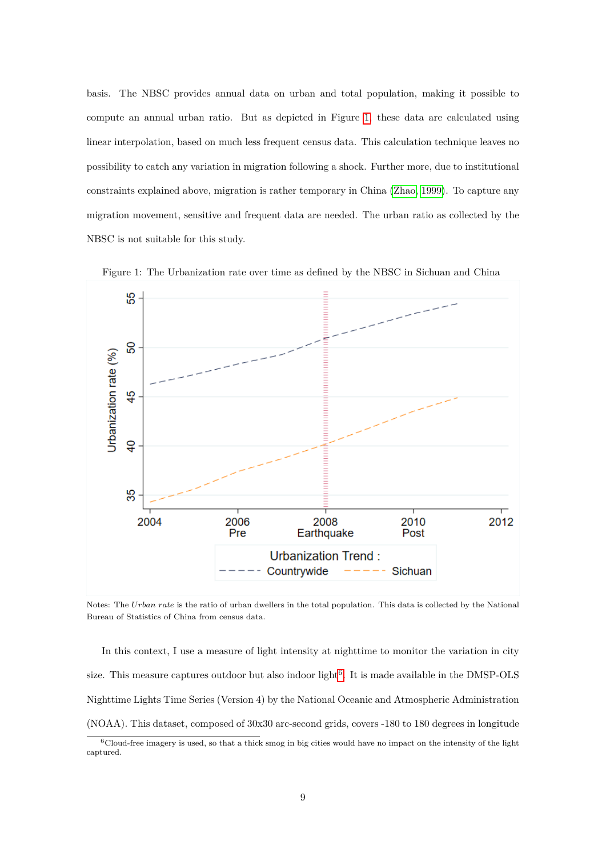basis. The NBSC provides annual data on urban and total population, making it possible to compute an annual urban ratio. But as depicted in Figure [1,](#page-8-0) these data are calculated using linear interpolation, based on much less frequent census data. This calculation technique leaves no possibility to catch any variation in migration following a shock. Further more, due to institutional constraints explained above, migration is rather temporary in China [\(Zhao, 1999\)](#page-25-5). To capture any migration movement, sensitive and frequent data are needed. The urban ratio as collected by the NBSC is not suitable for this study.



<span id="page-8-0"></span>Figure 1: The Urbanization rate over time as defined by the NBSC in Sichuan and China

Notes: The *Urban rate* is the ratio of urban dwellers in the total population. This data is collected by the National Bureau of Statistics of China from census data.

In this context, I use a measure of light intensity at nighttime to monitor the variation in city size. This measure captures outdoor but also indoor light<sup>[6](#page-8-1)</sup>. It is made available in the DMSP-OLS Nighttime Lights Time Series (Version 4) by the National Oceanic and Atmospheric Administration (NOAA). This dataset, composed of 30x30 arc-second grids, covers -180 to 180 degrees in longitude

<span id="page-8-1"></span> $6$ Cloud-free imagery is used, so that a thick smog in big cities would have no impact on the intensity of the light captured.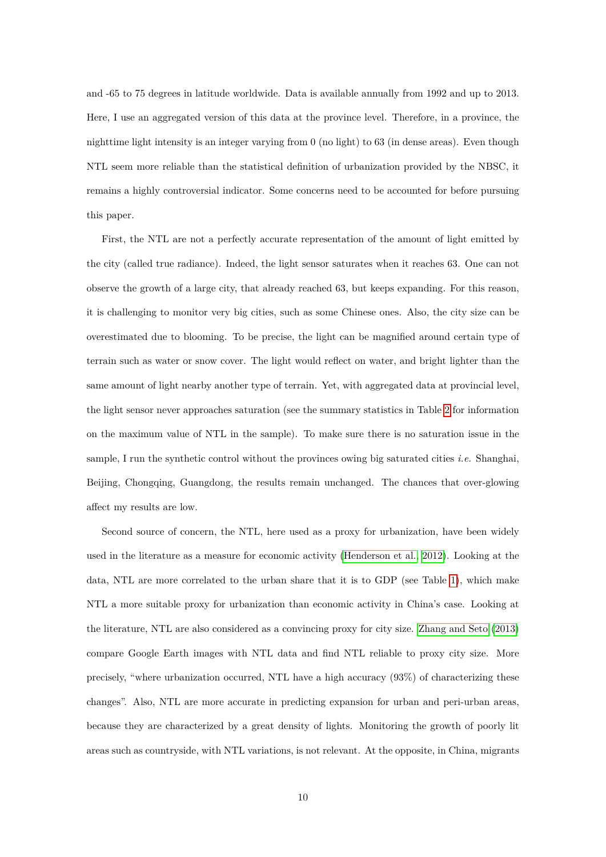and -65 to 75 degrees in latitude worldwide. Data is available annually from 1992 and up to 2013. Here, I use an aggregated version of this data at the province level. Therefore, in a province, the nighttime light intensity is an integer varying from 0 (no light) to 63 (in dense areas). Even though NTL seem more reliable than the statistical definition of urbanization provided by the NBSC, it remains a highly controversial indicator. Some concerns need to be accounted for before pursuing this paper.

First, the NTL are not a perfectly accurate representation of the amount of light emitted by the city (called true radiance). Indeed, the light sensor saturates when it reaches 63. One can not observe the growth of a large city, that already reached 63, but keeps expanding. For this reason, it is challenging to monitor very big cities, such as some Chinese ones. Also, the city size can be overestimated due to blooming. To be precise, the light can be magnified around certain type of terrain such as water or snow cover. The light would reflect on water, and bright lighter than the same amount of light nearby another type of terrain. Yet, with aggregated data at provincial level, the light sensor never approaches saturation (see the summary statistics in Table [2](#page-11-0) for information on the maximum value of NTL in the sample). To make sure there is no saturation issue in the sample, I run the synthetic control without the provinces owing big saturated cities *i.e.* Shanghai, Beijing, Chongqing, Guangdong, the results remain unchanged. The chances that over-glowing affect my results are low.

Second source of concern, the NTL, here used as a proxy for urbanization, have been widely used in the literature as a measure for economic activity [\(Henderson et al., 2012\)](#page-23-16). Looking at the data, NTL are more correlated to the urban share that it is to GDP (see Table [1\)](#page-10-0), which make NTL a more suitable proxy for urbanization than economic activity in China's case. Looking at the literature, NTL are also considered as a convincing proxy for city size. [Zhang and Seto](#page-25-7) [\(2013\)](#page-25-7) compare Google Earth images with NTL data and find NTL reliable to proxy city size. More precisely, "where urbanization occurred, NTL have a high accuracy (93%) of characterizing these changes". Also, NTL are more accurate in predicting expansion for urban and peri-urban areas, because they are characterized by a great density of lights. Monitoring the growth of poorly lit areas such as countryside, with NTL variations, is not relevant. At the opposite, in China, migrants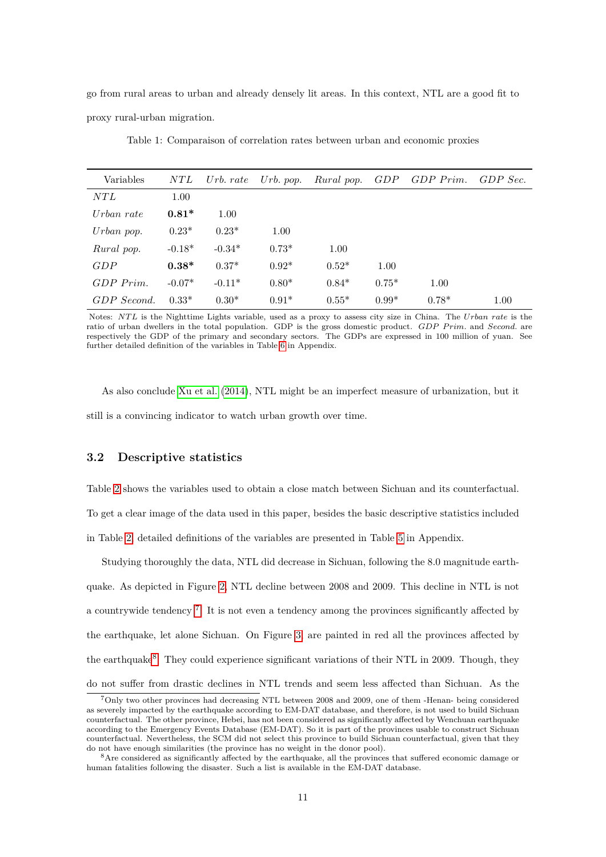go from rural areas to urban and already densely lit areas. In this context, NTL are a good fit to proxy rural-urban migration.

Table 1: Comparaison of correlation rates between urban and economic proxies

<span id="page-10-0"></span>

| Variables   | NTL      | Urb. $rate$ | Urb. $pop.$ | Rural pop. |         | GDP GDP Prim. | GDP Sec. |
|-------------|----------|-------------|-------------|------------|---------|---------------|----------|
| NTL         | 1.00     |             |             |            |         |               |          |
| Urban rate  | $0.81*$  | 1.00        |             |            |         |               |          |
| Urban pop.  | $0.23*$  | $0.23*$     | 1.00        |            |         |               |          |
| Rural pop.  | $-0.18*$ | $-0.34*$    | $0.73*$     | 1.00       |         |               |          |
| GDP         | $0.38*$  | $0.37*$     | $0.92*$     | $0.52*$    | 1.00    |               |          |
| $GDP$ Prim. | $-0.07*$ | $-0.11*$    | $0.80*$     | $0.84*$    | $0.75*$ | 1.00          |          |
| GDP Second. | $0.33*$  | $0.30*$     | $0.91*$     | $0.55*$    | $0.99*$ | $0.78*$       | 1.00     |

Notes: *NT L* is the Nighttime Lights variable, used as a proxy to assess city size in China. The *Urban rate* is the ratio of urban dwellers in the total population. GDP is the gross domestic product. *GDP Prim.* and *Second.* are respectively the GDP of the primary and secondary sectors. The GDPs are expressed in 100 million of yuan. See further detailed definition of the variables in Table [6](#page-26-0) in Appendix.

As also conclude [Xu et al.](#page-24-18) [\(2014\)](#page-24-18), NTL might be an imperfect measure of urbanization, but it still is a convincing indicator to watch urban growth over time.

#### **3.2 Descriptive statistics**

Table [2](#page-11-0) shows the variables used to obtain a close match between Sichuan and its counterfactual.

To get a clear image of the data used in this paper, besides the basic descriptive statistics included

in Table [2,](#page-11-0) detailed definitions of the variables are presented in Table [5](#page-26-1) in Appendix.

Studying thoroughly the data, NTL did decrease in Sichuan, following the 8.0 magnitude earthquake. As depicted in Figure [2,](#page-12-0) NTL decline between 2008 and 2009. This decline in NTL is not a countrywide tendency<sup>[7](#page-10-1)</sup>. It is not even a tendency among the provinces significantly affected by the earthquake, let alone Sichuan. On Figure [3,](#page-14-0) are painted in red all the provinces affected by the earthquake<sup>[8](#page-10-2)</sup>. They could experience significant variations of their NTL in 2009. Though, they do not suffer from drastic declines in NTL trends and seem less affected than Sichuan. As the

<span id="page-10-1"></span><sup>7</sup>Only two other provinces had decreasing NTL between 2008 and 2009, one of them -Henan- being considered as severely impacted by the earthquake according to EM-DAT database, and therefore, is not used to build Sichuan counterfactual. The other province, Hebei, has not been considered as significantly affected by Wenchuan earthquake according to the Emergency Events Database (EM-DAT). So it is part of the provinces usable to construct Sichuan counterfactual. Nevertheless, the SCM did not select this province to build Sichuan counterfactual, given that they do not have enough similarities (the province has no weight in the donor pool).

<span id="page-10-2"></span><sup>8</sup>Are considered as significantly affected by the earthquake, all the provinces that suffered economic damage or human fatalities following the disaster. Such a list is available in the EM-DAT database.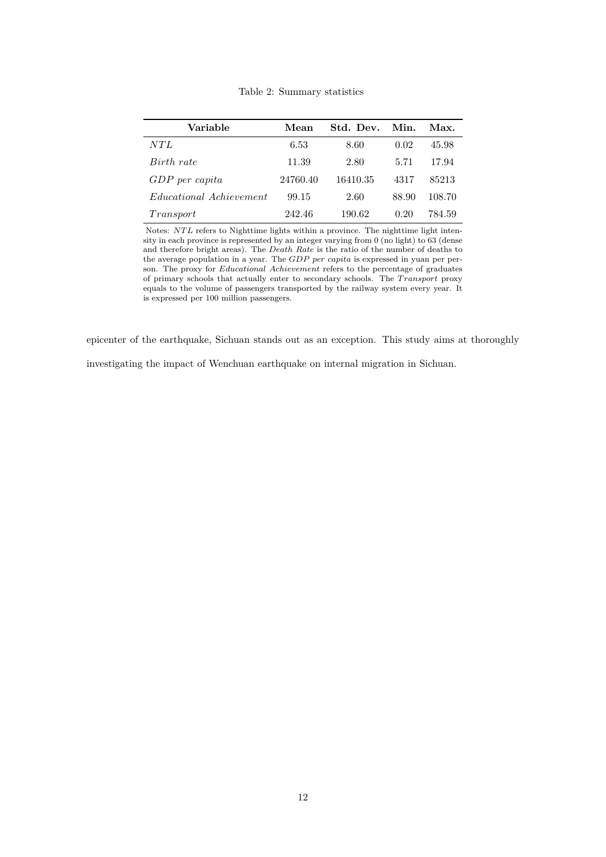<span id="page-11-0"></span>

| Variable                       | Mean     | Std. Dev. | Min.  | Max.   |
|--------------------------------|----------|-----------|-------|--------|
| NT L                           | 6.53     | 8.60      | 0.02  | 45.98  |
| Birth rate                     | 11.39    | 2.80      | 5.71  | 17.94  |
| $GDP$ per capita               | 24760.40 | 16410.35  | 4317  | 85213  |
| <i>Educational Achievement</i> | 99.15    | 2.60      | 88.90 | 108.70 |
| Transport                      | 242.46   | 190.62    | 0.20  | 784.59 |

Table 2: Summary statistics

Notes: *NTL* refers to Nighttime lights within a province. The nighttime light intensity in each province is represented by an integer varying from 0 (no light) to 63 (dense and therefore bright areas). The *Death Rate* is the ratio of the number of deaths to the average population in a year. The *GDP per capita* is expressed in yuan per person. The proxy for *Educational Achievement* refers to the percentage of graduates of primary schools that actually enter to secondary schools. The *T ransport* proxy equals to the volume of passengers transported by the railway system every year. It is expressed per 100 million passengers.

epicenter of the earthquake, Sichuan stands out as an exception. This study aims at thoroughly

investigating the impact of Wenchuan earthquake on internal migration in Sichuan.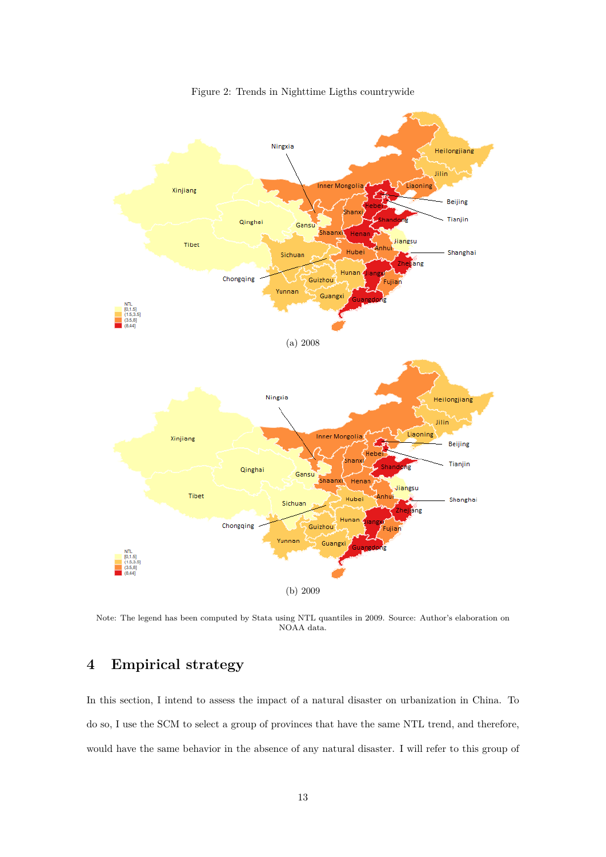<span id="page-12-0"></span>

Figure 2: Trends in Nighttime Ligths countrywide

Note: The legend has been computed by Stata using NTL quantiles in 2009. Source: Author's elaboration on NOAA data.

# **4 Empirical strategy**

In this section, I intend to assess the impact of a natural disaster on urbanization in China. To do so, I use the SCM to select a group of provinces that have the same NTL trend, and therefore, would have the same behavior in the absence of any natural disaster. I will refer to this group of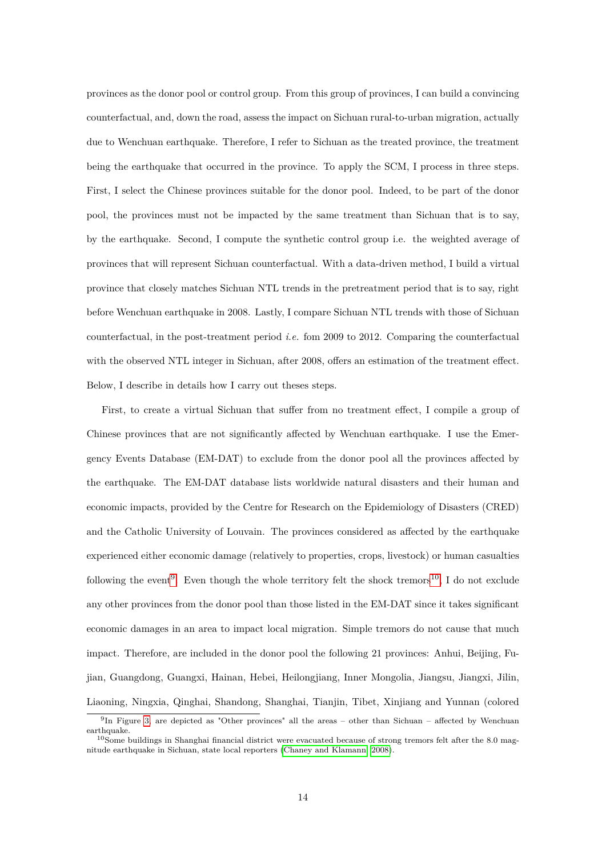provinces as the donor pool or control group. From this group of provinces, I can build a convincing counterfactual, and, down the road, assess the impact on Sichuan rural-to-urban migration, actually due to Wenchuan earthquake. Therefore, I refer to Sichuan as the treated province, the treatment being the earthquake that occurred in the province. To apply the SCM, I process in three steps. First, I select the Chinese provinces suitable for the donor pool. Indeed, to be part of the donor pool, the provinces must not be impacted by the same treatment than Sichuan that is to say, by the earthquake. Second, I compute the synthetic control group i.e. the weighted average of provinces that will represent Sichuan counterfactual. With a data-driven method, I build a virtual province that closely matches Sichuan NTL trends in the pretreatment period that is to say, right before Wenchuan earthquake in 2008. Lastly, I compare Sichuan NTL trends with those of Sichuan counterfactual, in the post-treatment period *i.e.* fom 2009 to 2012. Comparing the counterfactual with the observed NTL integer in Sichuan, after 2008, offers an estimation of the treatment effect. Below, I describe in details how I carry out theses steps.

First, to create a virtual Sichuan that suffer from no treatment effect, I compile a group of Chinese provinces that are not significantly affected by Wenchuan earthquake. I use the Emergency Events Database (EM-DAT) to exclude from the donor pool all the provinces affected by the earthquake. The EM-DAT database lists worldwide natural disasters and their human and economic impacts, provided by the Centre for Research on the Epidemiology of Disasters (CRED) and the Catholic University of Louvain. The provinces considered as affected by the earthquake experienced either economic damage (relatively to properties, crops, livestock) or human casualties following the event<sup>[9](#page-13-0)</sup>. Even though the whole territory felt the shock tremors<sup>[10](#page-13-1)</sup>, I do not exclude any other provinces from the donor pool than those listed in the EM-DAT since it takes significant economic damages in an area to impact local migration. Simple tremors do not cause that much impact. Therefore, are included in the donor pool the following 21 provinces: Anhui, Beijing, Fujian, Guangdong, Guangxi, Hainan, Hebei, Heilongjiang, Inner Mongolia, Jiangsu, Jiangxi, Jilin, Liaoning, Ningxia, Qinghai, Shandong, Shanghai, Tianjin, Tibet, Xinjiang and Yunnan (colored

<span id="page-13-0"></span><sup>&</sup>lt;sup>9</sup>In Figure [3,](#page-14-0) are depicted as "Other provinces" all the areas – other than Sichuan – affected by Wenchuan earthquake.

<span id="page-13-1"></span> $10$ Some buildings in Shanghai financial district were evacuated because of strong tremors felt after the 8.0 magnitude earthquake in Sichuan, state local reporters [\(Chaney and Klamann, 2008\)](#page-23-17).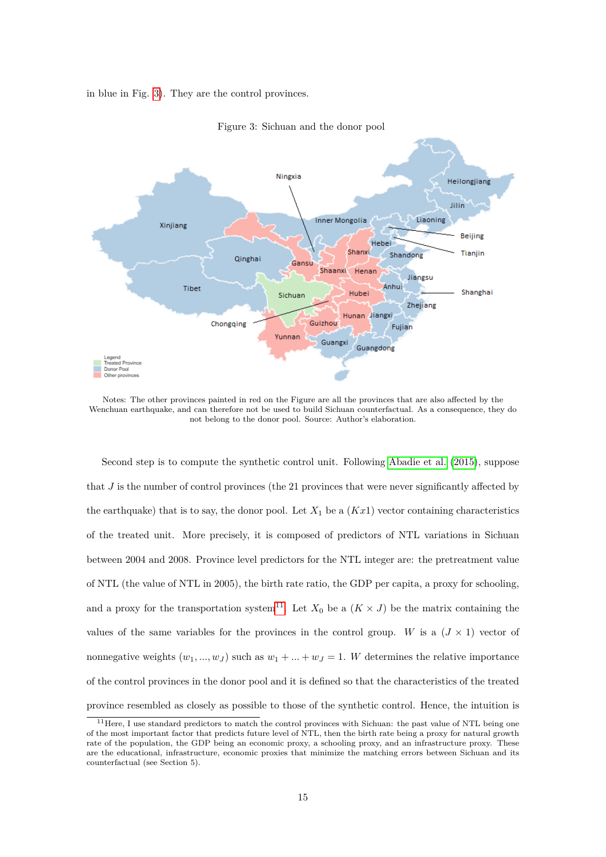<span id="page-14-0"></span>in blue in Fig. [3\)](#page-14-0). They are the control provinces.



Figure 3: Sichuan and the donor pool

Notes: The other provinces painted in red on the Figure are all the provinces that are also affected by the Wenchuan earthquake, and can therefore not be used to build Sichuan counterfactual. As a consequence, they do not belong to the donor pool. Source: Author's elaboration.

Second step is to compute the synthetic control unit. Following [Abadie et al.](#page-23-18) [\(2015\)](#page-23-18), suppose that *J* is the number of control provinces (the 21 provinces that were never significantly affected by the earthquake) that is to say, the donor pool. Let  $X_1$  be a  $(Kx_1)$  vector containing characteristics of the treated unit. More precisely, it is composed of predictors of NTL variations in Sichuan between 2004 and 2008. Province level predictors for the NTL integer are: the pretreatment value of NTL (the value of NTL in 2005), the birth rate ratio, the GDP per capita, a proxy for schooling, and a proxy for the transportation system<sup>[11](#page-14-1)</sup>. Let  $X_0$  be a  $(K \times J)$  be the matrix containing the values of the same variables for the provinces in the control group. *W* is a  $(J \times 1)$  vector of nonnegative weights  $(w_1, ..., w_J)$  such as  $w_1 + ... + w_J = 1$ . W determines the relative importance of the control provinces in the donor pool and it is defined so that the characteristics of the treated province resembled as closely as possible to those of the synthetic control. Hence, the intuition is

<span id="page-14-1"></span><sup>&</sup>lt;sup>11</sup>Here, I use standard predictors to match the control provinces with Sichuan: the past value of NTL being one of the most important factor that predicts future level of NTL, then the birth rate being a proxy for natural growth rate of the population, the GDP being an economic proxy, a schooling proxy, and an infrastructure proxy. These are the educational, infrastructure, economic proxies that minimize the matching errors between Sichuan and its counterfactual (see Section 5).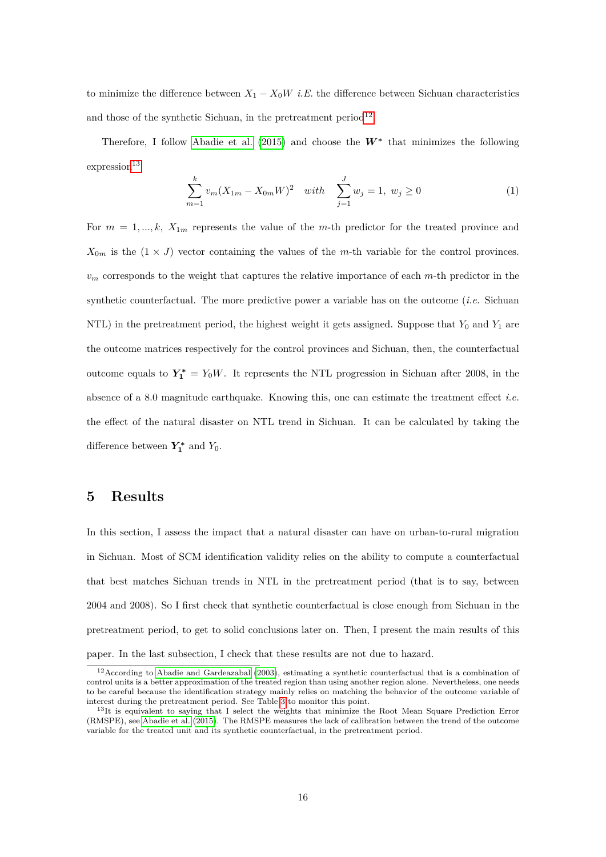to minimize the difference between  $X_1 - X_0W$  *i.E.* the difference between Sichuan characteristics and those of the synthetic Sichuan, in the pretreatment period<sup>[12](#page-15-0)</sup>.

Therefore, I follow [Abadie et al.](#page-23-18) [\(2015\)](#page-23-18) and choose the  $W^*$  that minimizes the following  $\rm {expression}^{13}$  $\rm {expression}^{13}$  $\rm {expression}^{13}$ 

$$
\sum_{m=1}^{k} v_m (X_{1m} - X_{0m} W)^2 \quad with \quad \sum_{j=1}^{J} w_j = 1, \ w_j \ge 0 \tag{1}
$$

For  $m = 1, ..., k$ ,  $X_{1m}$  represents the value of the *m*-th predictor for the treated province and  $X_{0m}$  is the  $(1 \times J)$  vector containing the values of the *m*-th variable for the control provinces. *v<sup>m</sup>* corresponds to the weight that captures the relative importance of each *m*-th predictor in the synthetic counterfactual. The more predictive power a variable has on the outcome (*i.e.* Sichuan NTL) in the pretreatment period, the highest weight it gets assigned. Suppose that  $Y_0$  and  $Y_1$  are the outcome matrices respectively for the control provinces and Sichuan, then, the counterfactual outcome equals to  $Y_1^* = Y_0W$ . It represents the NTL progression in Sichuan after 2008, in the absence of a 8.0 magnitude earthquake. Knowing this, one can estimate the treatment effect *i.e.* the effect of the natural disaster on NTL trend in Sichuan. It can be calculated by taking the difference between  $Y_1^*$  and  $Y_0$ .

### **5 Results**

In this section, I assess the impact that a natural disaster can have on urban-to-rural migration in Sichuan. Most of SCM identification validity relies on the ability to compute a counterfactual that best matches Sichuan trends in NTL in the pretreatment period (that is to say, between 2004 and 2008). So I first check that synthetic counterfactual is close enough from Sichuan in the pretreatment period, to get to solid conclusions later on. Then, I present the main results of this paper. In the last subsection, I check that these results are not due to hazard.

<span id="page-15-0"></span><sup>&</sup>lt;sup>12</sup> According to [Abadie and Gardeazabal](#page-23-19) [\(2003\)](#page-23-19), estimating a synthetic counterfactual that is a combination of control units is a better approximation of the treated region than using another region alone. Nevertheless, one needs to be careful because the identification strategy mainly relies on matching the behavior of the outcome variable of interest during the pretreatment period. See Table [3](#page-17-0) to monitor this point.

<span id="page-15-1"></span> $13$ It is equivalent to saying that I select the weights that minimize the Root Mean Square Prediction Error (RMSPE), see [Abadie et al.](#page-23-18) [\(2015\)](#page-23-18). The RMSPE measures the lack of calibration between the trend of the outcome variable for the treated unit and its synthetic counterfactual, in the pretreatment period.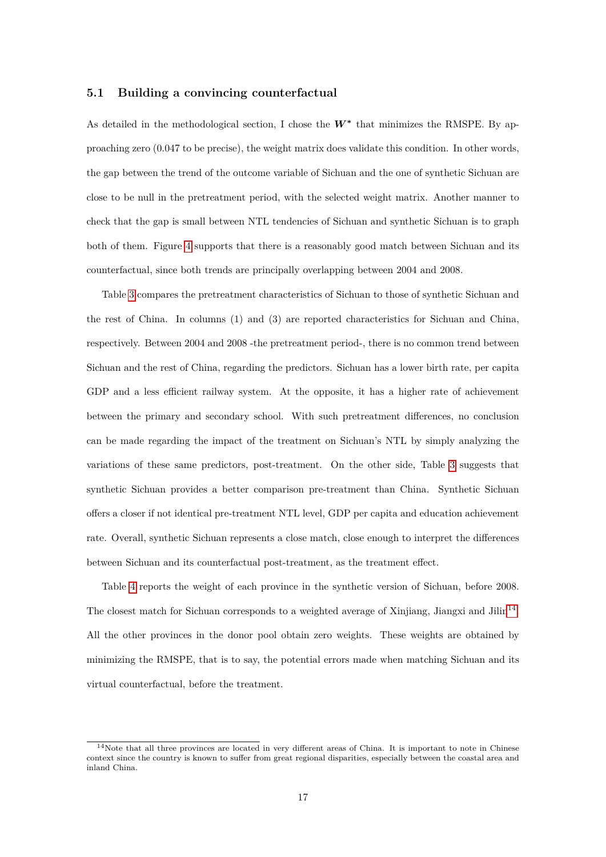#### **5.1 Building a convincing counterfactual**

As detailed in the methodological section, I chose the W**<sup>∗</sup>** that minimizes the RMSPE. By approaching zero (0.047 to be precise), the weight matrix does validate this condition. In other words, the gap between the trend of the outcome variable of Sichuan and the one of synthetic Sichuan are close to be null in the pretreatment period, with the selected weight matrix. Another manner to check that the gap is small between NTL tendencies of Sichuan and synthetic Sichuan is to graph both of them. Figure [4](#page-19-0) supports that there is a reasonably good match between Sichuan and its counterfactual, since both trends are principally overlapping between 2004 and 2008.

Table [3](#page-17-0) compares the pretreatment characteristics of Sichuan to those of synthetic Sichuan and the rest of China. In columns (1) and (3) are reported characteristics for Sichuan and China, respectively. Between 2004 and 2008 -the pretreatment period-, there is no common trend between Sichuan and the rest of China, regarding the predictors. Sichuan has a lower birth rate, per capita GDP and a less efficient railway system. At the opposite, it has a higher rate of achievement between the primary and secondary school. With such pretreatment differences, no conclusion can be made regarding the impact of the treatment on Sichuan's NTL by simply analyzing the variations of these same predictors, post-treatment. On the other side, Table [3](#page-17-0) suggests that synthetic Sichuan provides a better comparison pre-treatment than China. Synthetic Sichuan offers a closer if not identical pre-treatment NTL level, GDP per capita and education achievement rate. Overall, synthetic Sichuan represents a close match, close enough to interpret the differences between Sichuan and its counterfactual post-treatment, as the treatment effect.

Table [4](#page-17-1) reports the weight of each province in the synthetic version of Sichuan, before 2008. The closest match for Sichuan corresponds to a weighted average of Xinjiang, Jiangxi and Jilin<sup>[14](#page-16-0)</sup>. All the other provinces in the donor pool obtain zero weights. These weights are obtained by minimizing the RMSPE, that is to say, the potential errors made when matching Sichuan and its virtual counterfactual, before the treatment.

<span id="page-16-0"></span> $14$ Note that all three provinces are located in very different areas of China. It is important to note in Chinese context since the country is known to suffer from great regional disparities, especially between the coastal area and inland China.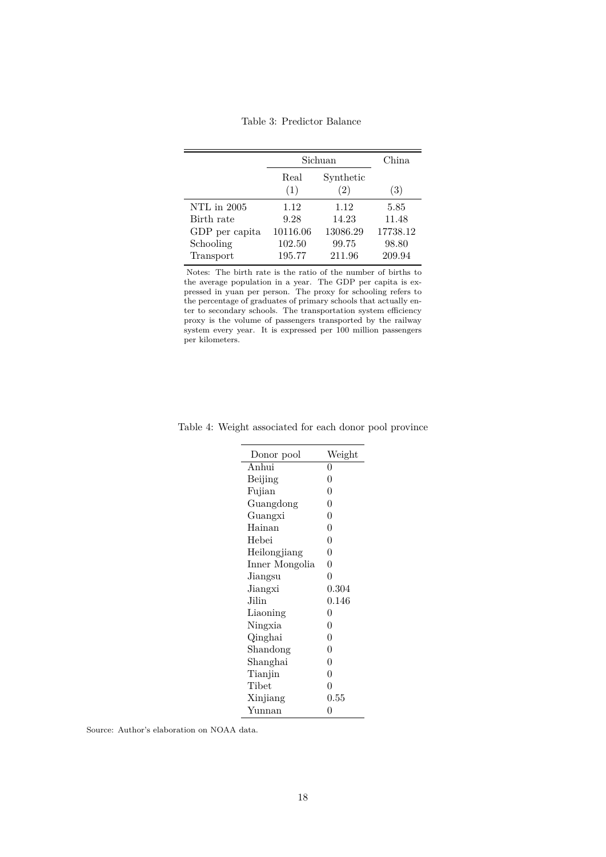Table 3: Predictor Balance

<span id="page-17-0"></span>

|                | Sichuan     | China                          |          |
|----------------|-------------|--------------------------------|----------|
|                | Real<br>(1) | Synthetic<br>$\left( 2\right)$ | (3)      |
| NTL in 2005    | 1.12        | 1.12                           | 5.85     |
| Birth rate     | 9.28        | 14.23                          | 11.48    |
| GDP per capita | 10116.06    | 13086.29                       | 17738.12 |
| Schooling      | 102.50      | 99.75                          | 98.80    |
| Transport      | 195.77      | 211.96                         | 209.94   |

Notes: The birth rate is the ratio of the number of births to the average population in a year. The GDP per capita is expressed in yuan per person. The proxy for schooling refers to the percentage of graduates of primary schools that actually enter to secondary schools. The transportation system efficiency proxy is the volume of passengers transported by the railway system every year. It is expressed per 100 million passengers per kilometers.

| Donor pool     | Weight         |
|----------------|----------------|
| Anhui          | 0              |
| Beijing        | 0              |
| Fujian         | 0              |
| Guangdong      | 0              |
| Guangxi        | 0              |
| Hainan         | 0              |
| Hebei          | 0              |
| Heilongjiang   | 0              |
| Inner Mongolia | 0              |
| Jiangsu        | $\overline{0}$ |
| Jiangxi        | 0.304          |
| Jilin          | $\,0.146\,$    |
| Liaoning       | 0              |
| Ningxia        | 0              |
| Qinghai        | 0              |
| Shandong       | 0              |
| Shanghai       | 0              |
| Tianjin        | $\rm 0$        |
| Tibet          | $\theta$       |
| Xinjiang       | 0.55           |
| Yunnan         | 0              |
|                |                |

<span id="page-17-1"></span>Table 4: Weight associated for each donor pool province

Source: Author's elaboration on NOAA data.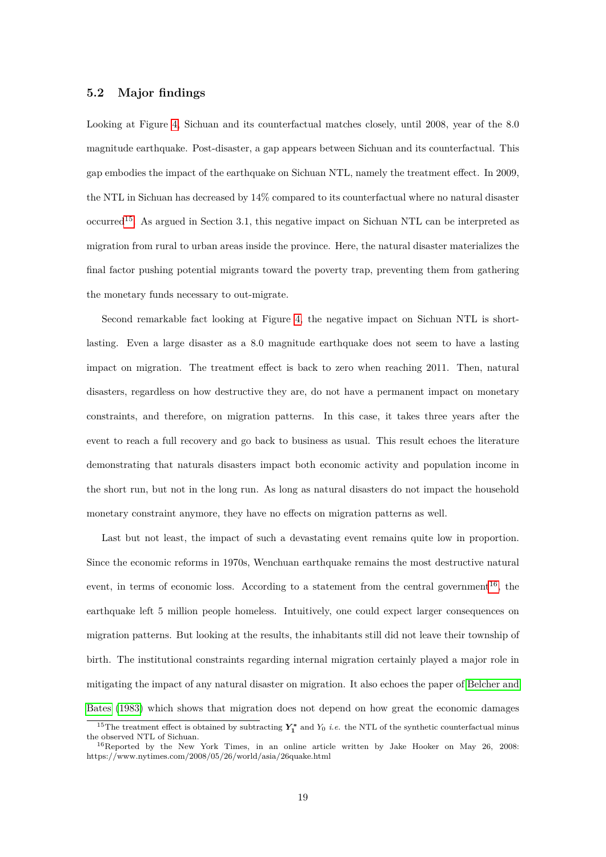#### **5.2 Major findings**

Looking at Figure [4,](#page-19-0) Sichuan and its counterfactual matches closely, until 2008, year of the 8.0 magnitude earthquake. Post-disaster, a gap appears between Sichuan and its counterfactual. This gap embodies the impact of the earthquake on Sichuan NTL, namely the treatment effect. In 2009, the NTL in Sichuan has decreased by 14% compared to its counterfactual where no natural disaster occurred<sup>[15](#page-18-0)</sup>. As argued in Section 3.1, this negative impact on Sichuan NTL can be interpreted as migration from rural to urban areas inside the province. Here, the natural disaster materializes the final factor pushing potential migrants toward the poverty trap, preventing them from gathering the monetary funds necessary to out-migrate.

Second remarkable fact looking at Figure [4,](#page-19-0) the negative impact on Sichuan NTL is shortlasting. Even a large disaster as a 8.0 magnitude earthquake does not seem to have a lasting impact on migration. The treatment effect is back to zero when reaching 2011. Then, natural disasters, regardless on how destructive they are, do not have a permanent impact on monetary constraints, and therefore, on migration patterns. In this case, it takes three years after the event to reach a full recovery and go back to business as usual. This result echoes the literature demonstrating that naturals disasters impact both economic activity and population income in the short run, but not in the long run. As long as natural disasters do not impact the household monetary constraint anymore, they have no effects on migration patterns as well.

Last but not least, the impact of such a devastating event remains quite low in proportion. Since the economic reforms in 1970s, Wenchuan earthquake remains the most destructive natural event, in terms of economic loss. According to a statement from the central government<sup>[16](#page-18-1)</sup>, the earthquake left 5 million people homeless. Intuitively, one could expect larger consequences on migration patterns. But looking at the results, the inhabitants still did not leave their township of birth. The institutional constraints regarding internal migration certainly played a major role in mitigating the impact of any natural disaster on migration. It also echoes the paper of [Belcher and](#page-23-7) [Bates](#page-23-7) [\(1983\)](#page-23-7) which shows that migration does not depend on how great the economic damages

<span id="page-18-0"></span><sup>&</sup>lt;sup>15</sup>The treatment effect is obtained by subtracting  $Y_1^*$  and  $Y_0$  *i.e.* the NTL of the synthetic counterfactual minus the observed NTL of Sichuan.

<span id="page-18-1"></span><sup>16</sup>Reported by the New York Times, in an online article written by Jake Hooker on May 26, 2008: https://www.nytimes.com/2008/05/26/world/asia/26quake.html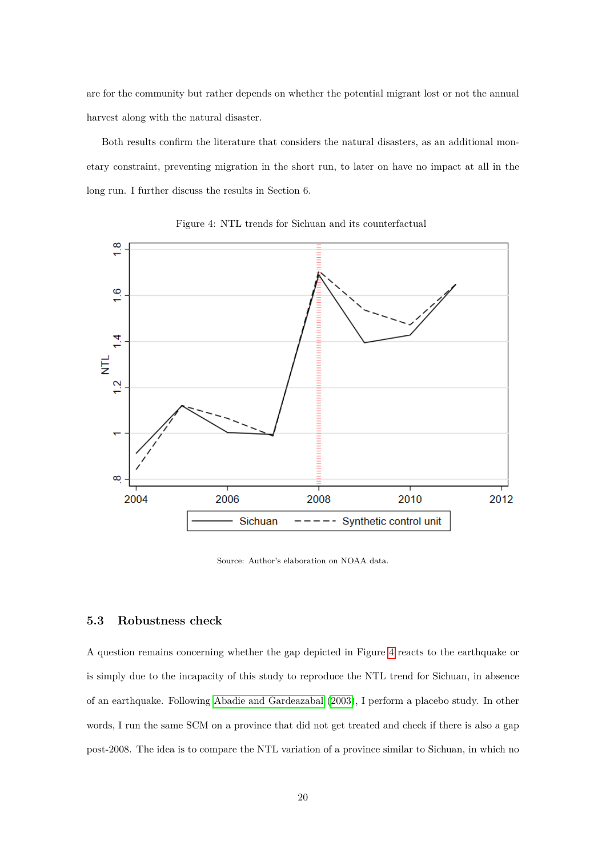are for the community but rather depends on whether the potential migrant lost or not the annual harvest along with the natural disaster.

Both results confirm the literature that considers the natural disasters, as an additional monetary constraint, preventing migration in the short run, to later on have no impact at all in the long run. I further discuss the results in Section 6.

<span id="page-19-0"></span>

Figure 4: NTL trends for Sichuan and its counterfactual

Source: Author's elaboration on NOAA data.

#### **5.3 Robustness check**

A question remains concerning whether the gap depicted in Figure [4](#page-19-0) reacts to the earthquake or is simply due to the incapacity of this study to reproduce the NTL trend for Sichuan, in absence of an earthquake. Following [Abadie and Gardeazabal](#page-23-19) [\(2003\)](#page-23-19), I perform a placebo study. In other words, I run the same SCM on a province that did not get treated and check if there is also a gap post-2008. The idea is to compare the NTL variation of a province similar to Sichuan, in which no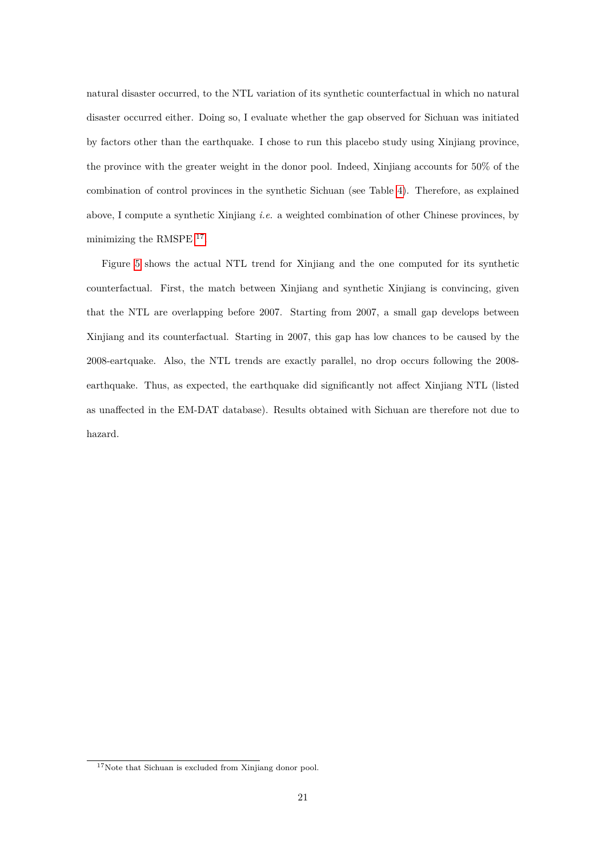natural disaster occurred, to the NTL variation of its synthetic counterfactual in which no natural disaster occurred either. Doing so, I evaluate whether the gap observed for Sichuan was initiated by factors other than the earthquake. I chose to run this placebo study using Xinjiang province, the province with the greater weight in the donor pool. Indeed, Xinjiang accounts for 50% of the combination of control provinces in the synthetic Sichuan (see Table [4\)](#page-17-1). Therefore, as explained above, I compute a synthetic Xinjiang *i.e.* a weighted combination of other Chinese provinces, by minimizing the RMSPE <sup>[17](#page-20-0)</sup>.

Figure [5](#page-21-0) shows the actual NTL trend for Xinjiang and the one computed for its synthetic counterfactual. First, the match between Xinjiang and synthetic Xinjiang is convincing, given that the NTL are overlapping before 2007. Starting from 2007, a small gap develops between Xinjiang and its counterfactual. Starting in 2007, this gap has low chances to be caused by the 2008-eartquake. Also, the NTL trends are exactly parallel, no drop occurs following the 2008 earthquake. Thus, as expected, the earthquake did significantly not affect Xinjiang NTL (listed as unaffected in the EM-DAT database). Results obtained with Sichuan are therefore not due to hazard.

<span id="page-20-0"></span><sup>17</sup>Note that Sichuan is excluded from Xinjiang donor pool.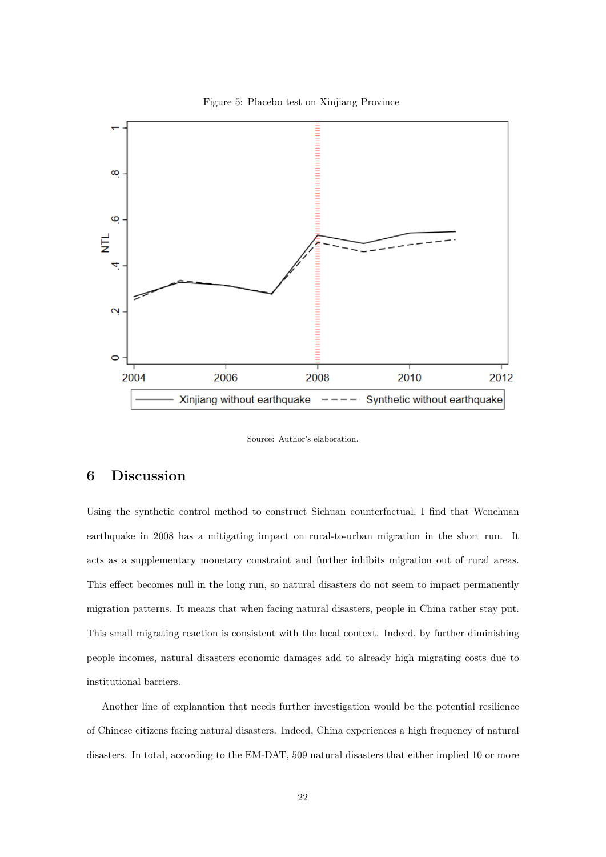

<span id="page-21-0"></span>

Source: Author's elaboration.

## **6 Discussion**

Using the synthetic control method to construct Sichuan counterfactual, I find that Wenchuan earthquake in 2008 has a mitigating impact on rural-to-urban migration in the short run. It acts as a supplementary monetary constraint and further inhibits migration out of rural areas. This effect becomes null in the long run, so natural disasters do not seem to impact permanently migration patterns. It means that when facing natural disasters, people in China rather stay put. This small migrating reaction is consistent with the local context. Indeed, by further diminishing people incomes, natural disasters economic damages add to already high migrating costs due to institutional barriers.

Another line of explanation that needs further investigation would be the potential resilience of Chinese citizens facing natural disasters. Indeed, China experiences a high frequency of natural disasters. In total, according to the EM-DAT, 509 natural disasters that either implied 10 or more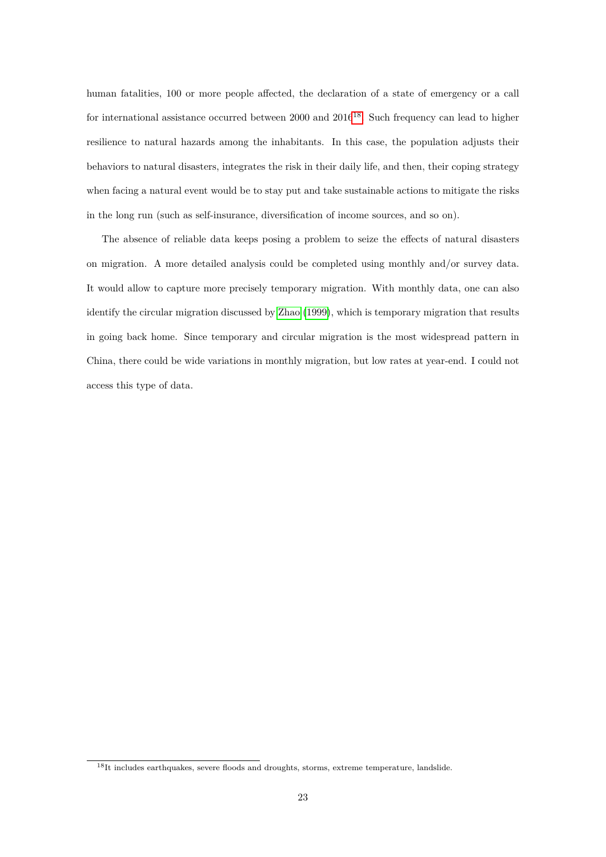human fatalities, 100 or more people affected, the declaration of a state of emergency or a call for international assistance occurred between 2000 and 2016<sup>[18](#page-22-0)</sup>. Such frequency can lead to higher resilience to natural hazards among the inhabitants. In this case, the population adjusts their behaviors to natural disasters, integrates the risk in their daily life, and then, their coping strategy when facing a natural event would be to stay put and take sustainable actions to mitigate the risks in the long run (such as self-insurance, diversification of income sources, and so on).

The absence of reliable data keeps posing a problem to seize the effects of natural disasters on migration. A more detailed analysis could be completed using monthly and/or survey data. It would allow to capture more precisely temporary migration. With monthly data, one can also identify the circular migration discussed by [Zhao](#page-25-5) [\(1999\)](#page-25-5), which is temporary migration that results in going back home. Since temporary and circular migration is the most widespread pattern in China, there could be wide variations in monthly migration, but low rates at year-end. I could not access this type of data.

<span id="page-22-0"></span> $^{18}{\rm It}$  includes earthquakes, severe floods and droughts, storms, extreme temperature, landslide.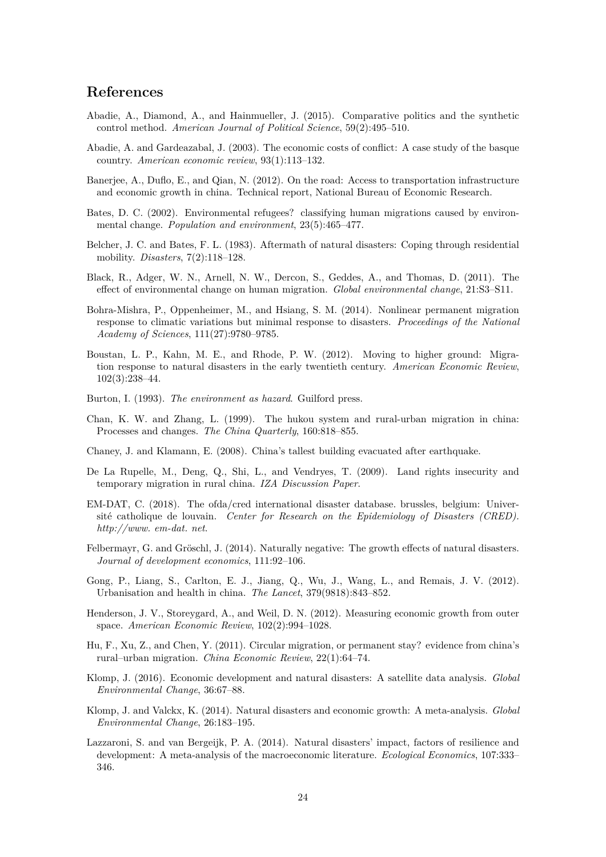## **References**

- <span id="page-23-18"></span>Abadie, A., Diamond, A., and Hainmueller, J. (2015). Comparative politics and the synthetic control method. *American Journal of Political Science*, 59(2):495–510.
- <span id="page-23-19"></span>Abadie, A. and Gardeazabal, J. (2003). The economic costs of conflict: A case study of the basque country. *American economic review*, 93(1):113–132.
- <span id="page-23-12"></span>Banerjee, A., Duflo, E., and Qian, N. (2012). On the road: Access to transportation infrastructure and economic growth in china. Technical report, National Bureau of Economic Research.
- <span id="page-23-0"></span>Bates, D. C. (2002). Environmental refugees? classifying human migrations caused by environmental change. *Population and environment*, 23(5):465–477.
- <span id="page-23-7"></span>Belcher, J. C. and Bates, F. L. (1983). Aftermath of natural disasters: Coping through residential mobility. *Disasters*, 7(2):118–128.
- <span id="page-23-1"></span>Black, R., Adger, W. N., Arnell, N. W., Dercon, S., Geddes, A., and Thomas, D. (2011). The effect of environmental change on human migration. *Global environmental change*, 21:S3–S11.
- <span id="page-23-6"></span>Bohra-Mishra, P., Oppenheimer, M., and Hsiang, S. M. (2014). Nonlinear permanent migration response to climatic variations but minimal response to disasters. *Proceedings of the National Academy of Sciences*, 111(27):9780–9785.
- <span id="page-23-8"></span>Boustan, L. P., Kahn, M. E., and Rhode, P. W. (2012). Moving to higher ground: Migration response to natural disasters in the early twentieth century. *American Economic Review*, 102(3):238–44.
- <span id="page-23-9"></span>Burton, I. (1993). *The environment as hazard*. Guilford press.
- <span id="page-23-11"></span>Chan, K. W. and Zhang, L. (1999). The hukou system and rural-urban migration in china: Processes and changes. *The China Quarterly*, 160:818–855.
- <span id="page-23-17"></span>Chaney, J. and Klamann, E. (2008). China's tallest building evacuated after earthquake.
- <span id="page-23-15"></span>De La Rupelle, M., Deng, Q., Shi, L., and Vendryes, T. (2009). Land rights insecurity and temporary migration in rural china. *IZA Discussion Paper*.
- <span id="page-23-4"></span>EM-DAT, C. (2018). The ofda/cred international disaster database. brussles, belgium: Université catholique de louvain. *Center for Research on the Epidemiology of Disasters (CRED). http://www. em-dat. net*.
- <span id="page-23-5"></span>Felbermayr, G. and Gröschl, J. (2014). Naturally negative: The growth effects of natural disasters. *Journal of development economics*, 111:92–106.
- <span id="page-23-13"></span>Gong, P., Liang, S., Carlton, E. J., Jiang, Q., Wu, J., Wang, L., and Remais, J. V. (2012). Urbanisation and health in china. *The Lancet*, 379(9818):843–852.
- <span id="page-23-16"></span>Henderson, J. V., Storeygard, A., and Weil, D. N. (2012). Measuring economic growth from outer space. *American Economic Review*, 102(2):994–1028.
- <span id="page-23-14"></span>Hu, F., Xu, Z., and Chen, Y. (2011). Circular migration, or permanent stay? evidence from china's rural–urban migration. *China Economic Review*, 22(1):64–74.
- <span id="page-23-10"></span>Klomp, J. (2016). Economic development and natural disasters: A satellite data analysis. *Global Environmental Change*, 36:67–88.
- <span id="page-23-3"></span>Klomp, J. and Valckx, K. (2014). Natural disasters and economic growth: A meta-analysis. *Global Environmental Change*, 26:183–195.
- <span id="page-23-2"></span>Lazzaroni, S. and van Bergeijk, P. A. (2014). Natural disasters' impact, factors of resilience and development: A meta-analysis of the macroeconomic literature. *Ecological Economics*, 107:333– 346.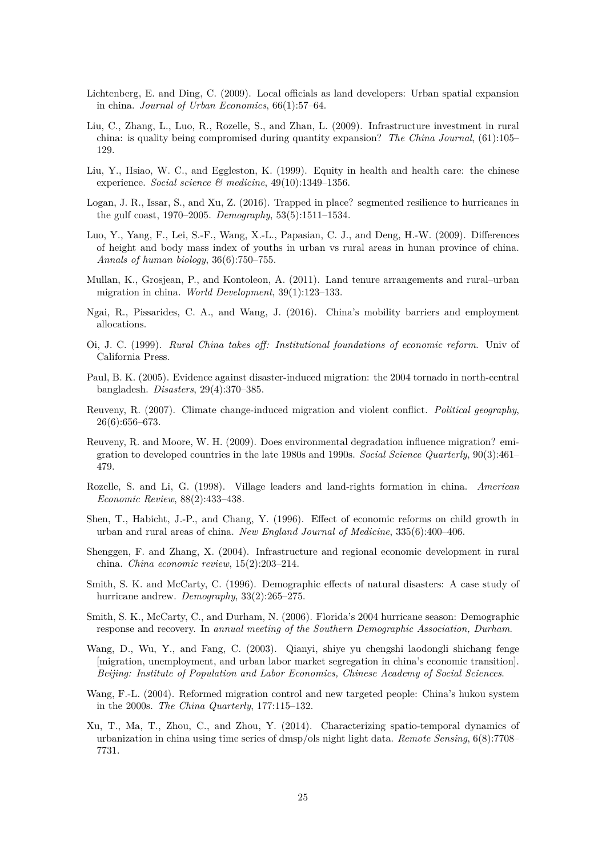- <span id="page-24-13"></span>Lichtenberg, E. and Ding, C. (2009). Local officials as land developers: Urban spatial expansion in china. *Journal of Urban Economics*, 66(1):57–64.
- <span id="page-24-7"></span>Liu, C., Zhang, L., Luo, R., Rozelle, S., and Zhan, L. (2009). Infrastructure investment in rural china: is quality being compromised during quantity expansion? *The China Journal*, (61):105– 129.
- <span id="page-24-10"></span>Liu, Y., Hsiao, W. C., and Eggleston, K. (1999). Equity in health and health care: the chinese experience. *Social science & medicine*, 49(10):1349–1356.
- <span id="page-24-5"></span>Logan, J. R., Issar, S., and Xu, Z. (2016). Trapped in place? segmented resilience to hurricanes in the gulf coast, 1970–2005. *Demography*, 53(5):1511–1534.
- <span id="page-24-11"></span>Luo, Y., Yang, F., Lei, S.-F., Wang, X.-L., Papasian, C. J., and Deng, H.-W. (2009). Differences of height and body mass index of youths in urban vs rural areas in hunan province of china. *Annals of human biology*, 36(6):750–755.
- <span id="page-24-16"></span>Mullan, K., Grosjean, P., and Kontoleon, A. (2011). Land tenure arrangements and rural–urban migration in china. *World Development*, 39(1):123–133.
- <span id="page-24-6"></span>Ngai, R., Pissarides, C. A., and Wang, J. (2016). China's mobility barriers and employment allocations.
- <span id="page-24-17"></span>Oi, J. C. (1999). *Rural China takes off: Institutional foundations of economic reform*. Univ of California Press.
- <span id="page-24-4"></span>Paul, B. K. (2005). Evidence against disaster-induced migration: the 2004 tornado in north-central bangladesh. *Disasters*, 29(4):370–385.
- <span id="page-24-0"></span>Reuveny, R. (2007). Climate change-induced migration and violent conflict. *Political geography*, 26(6):656–673.
- <span id="page-24-14"></span>Reuveny, R. and Moore, W. H. (2009). Does environmental degradation influence migration? emigration to developed countries in the late 1980s and 1990s. *Social Science Quarterly*, 90(3):461– 479.
- <span id="page-24-12"></span>Rozelle, S. and Li, G. (1998). Village leaders and land-rights formation in china. *American Economic Review*, 88(2):433–438.
- <span id="page-24-9"></span>Shen, T., Habicht, J.-P., and Chang, Y. (1996). Effect of economic reforms on child growth in urban and rural areas of china. *New England Journal of Medicine*, 335(6):400–406.
- <span id="page-24-8"></span>Shenggen, F. and Zhang, X. (2004). Infrastructure and regional economic development in rural china. *China economic review*, 15(2):203–214.
- <span id="page-24-1"></span>Smith, S. K. and McCarty, C. (1996). Demographic effects of natural disasters: A case study of hurricane andrew. *Demography*, 33(2):265–275.
- <span id="page-24-2"></span>Smith, S. K., McCarty, C., and Durham, N. (2006). Florida's 2004 hurricane season: Demographic response and recovery. In *annual meeting of the Southern Demographic Association, Durham*.
- <span id="page-24-3"></span>Wang, D., Wu, Y., and Fang, C. (2003). Qianyi, shiye yu chengshi laodongli shichang fenge [migration, unemployment, and urban labor market segregation in china's economic transition]. *Beijing: Institute of Population and Labor Economics, Chinese Academy of Social Sciences*.
- <span id="page-24-15"></span>Wang, F.-L. (2004). Reformed migration control and new targeted people: China's hukou system in the 2000s. *The China Quarterly*, 177:115–132.
- <span id="page-24-18"></span>Xu, T., Ma, T., Zhou, C., and Zhou, Y. (2014). Characterizing spatio-temporal dynamics of urbanization in china using time series of dmsp/ols night light data. *Remote Sensing*, 6(8):7708– 7731.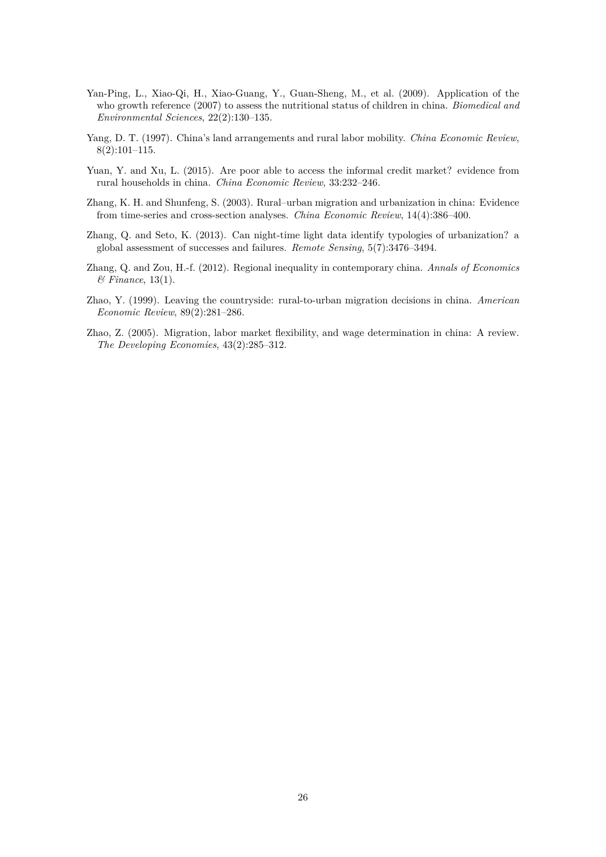- <span id="page-25-4"></span>Yan-Ping, L., Xiao-Qi, H., Xiao-Guang, Y., Guan-Sheng, M., et al. (2009). Application of the who growth reference (2007) to assess the nutritional status of children in china. *Biomedical and Environmental Sciences*, 22(2):130–135.
- <span id="page-25-6"></span>Yang, D. T. (1997). China's land arrangements and rural labor mobility. *China Economic Review*, 8(2):101–115.
- <span id="page-25-3"></span>Yuan, Y. and Xu, L. (2015). Are poor able to access the informal credit market? evidence from rural households in china. *China Economic Review*, 33:232–246.
- <span id="page-25-1"></span>Zhang, K. H. and Shunfeng, S. (2003). Rural–urban migration and urbanization in china: Evidence from time-series and cross-section analyses. *China Economic Review*, 14(4):386–400.
- <span id="page-25-7"></span>Zhang, Q. and Seto, K. (2013). Can night-time light data identify typologies of urbanization? a global assessment of successes and failures. *Remote Sensing*, 5(7):3476–3494.
- <span id="page-25-2"></span>Zhang, Q. and Zou, H.-f. (2012). Regional inequality in contemporary china. *Annals of Economics & Finance*, 13(1).
- <span id="page-25-5"></span>Zhao, Y. (1999). Leaving the countryside: rural-to-urban migration decisions in china. *American Economic Review*, 89(2):281–286.
- <span id="page-25-0"></span>Zhao, Z. (2005). Migration, labor market flexibility, and wage determination in china: A review. *The Developing Economies*, 43(2):285–312.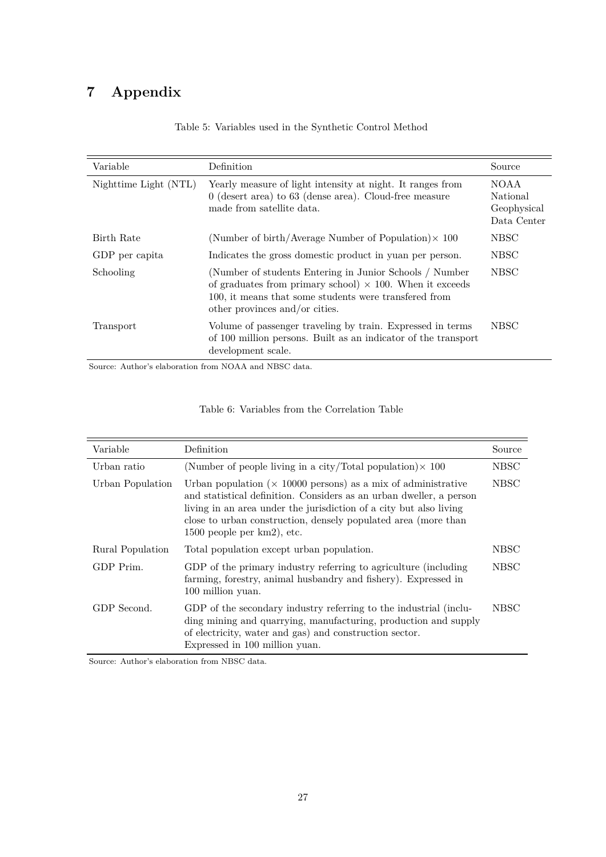# <span id="page-26-1"></span>**7 Appendix**

| Variable              | Definition                                                                                                                                                                                                            | Source                                         |
|-----------------------|-----------------------------------------------------------------------------------------------------------------------------------------------------------------------------------------------------------------------|------------------------------------------------|
| Nighttime Light (NTL) | Yearly measure of light intensity at night. It ranges from<br>$0$ (desert area) to 63 (dense area). Cloud-free measure<br>made from satellite data.                                                                   | NOAA<br>National<br>Geophysical<br>Data Center |
| Birth Rate            | (Number of birth/Average Number of Population) $\times$ 100                                                                                                                                                           | <b>NBSC</b>                                    |
| GDP per capita        | Indicates the gross domestic product in yuan per person.                                                                                                                                                              | <b>NBSC</b>                                    |
| Schooling             | (Number of students Entering in Junior Schools / Number<br>of graduates from primary school) $\times$ 100. When it exceeds<br>100, it means that some students were transfered from<br>other provinces and/or cities. | <b>NBSC</b>                                    |
| Transport             | Volume of passenger traveling by train. Expressed in terms<br>of 100 million persons. Built as an indicator of the transport<br>development scale.                                                                    | NBSC <sup>1</sup>                              |

### Table 5: Variables used in the Synthetic Control Method

Source: Author's elaboration from NOAA and NBSC data.

<span id="page-26-0"></span>

| Variable         | Definition                                                                                                                                                                                                                                                                                                           | Source      |
|------------------|----------------------------------------------------------------------------------------------------------------------------------------------------------------------------------------------------------------------------------------------------------------------------------------------------------------------|-------------|
| Urban ratio      | (Number of people living in a city/Total population) $\times$ 100                                                                                                                                                                                                                                                    | <b>NBSC</b> |
| Urban Population | Urban population ( $\times$ 10000 persons) as a mix of administrative<br>and statistical definition. Considers as an urban dweller, a person<br>living in an area under the jurisdiction of a city but also living<br>close to urban construction, densely populated area (more than<br>$1500$ people per km2), etc. | NBSC        |
| Rural Population | Total population except urban population.                                                                                                                                                                                                                                                                            | NBSC        |
| GDP Prim.        | GDP of the primary industry referring to agriculture (including<br>farming, forestry, animal husbandry and fishery). Expressed in<br>100 million yuan.                                                                                                                                                               | NBSC        |
| GDP Second.      | GDP of the secondary industry referring to the industrial (inclu-<br>ding mining and quarrying, manufacturing, production and supply<br>of electricity, water and gas) and construction sector.<br>Expressed in 100 million yuan.                                                                                    | NBSC        |

Source: Author's elaboration from NBSC data.